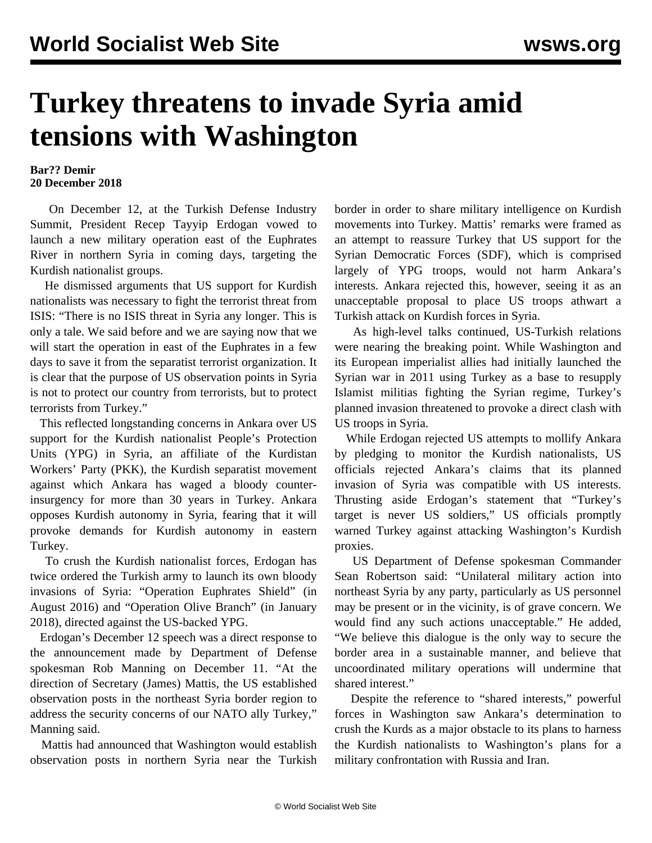## **Turkey threatens to invade Syria amid tensions with Washington**

## **Bar?? Demir 20 December 2018**

 On December 12, at the Turkish Defense Industry Summit, President Recep Tayyip Erdogan vowed to launch a new military operation east of the Euphrates River in northern Syria in coming days, targeting the Kurdish nationalist groups.

 He dismissed arguments that US support for Kurdish nationalists was necessary to fight the terrorist threat from ISIS: "There is no ISIS threat in Syria any longer. This is only a tale. We said before and we are saying now that we will start the operation in east of the Euphrates in a few days to save it from the separatist terrorist organization. It is clear that the purpose of US observation points in Syria is not to protect our country from terrorists, but to protect terrorists from Turkey."

 This reflected longstanding concerns in Ankara over US support for the Kurdish nationalist People's Protection Units (YPG) in Syria, an affiliate of the Kurdistan Workers' Party (PKK), the Kurdish separatist movement against which Ankara has waged a bloody counterinsurgency for more than 30 years in Turkey. Ankara opposes Kurdish autonomy in Syria, fearing that it will provoke demands for Kurdish autonomy in eastern Turkey.

 To crush the Kurdish nationalist forces, Erdogan has twice ordered the Turkish army to launch its own bloody invasions of Syria: "Operation Euphrates Shield" (in August 2016) and "Operation Olive Branch" (in January 2018), directed against the US-backed YPG.

 Erdogan's December 12 speech was a direct response to the announcement made by Department of Defense spokesman Rob Manning on December 11. "At the direction of Secretary (James) Mattis, the US established observation posts in the northeast Syria border region to address the security concerns of our NATO ally Turkey," Manning said.

 Mattis had announced that Washington would establish observation posts in northern Syria near the Turkish border in order to share military intelligence on Kurdish movements into Turkey. Mattis' remarks were framed as an attempt to reassure Turkey that US support for the Syrian Democratic Forces (SDF), which is comprised largely of YPG troops, would not harm Ankara's interests. Ankara rejected this, however, seeing it as an unacceptable proposal to place US troops athwart a Turkish attack on Kurdish forces in Syria.

 As high-level talks continued, US-Turkish relations were nearing the breaking point. While Washington and its European imperialist allies had initially launched the Syrian war in 2011 using Turkey as a base to resupply Islamist militias fighting the Syrian regime, Turkey's planned invasion threatened to provoke a direct clash with US troops in Syria.

 While Erdogan rejected US attempts to mollify Ankara by pledging to monitor the Kurdish nationalists, US officials rejected Ankara's claims that its planned invasion of Syria was compatible with US interests. Thrusting aside Erdogan's statement that "Turkey's target is never US soldiers," US officials promptly warned Turkey against attacking Washington's Kurdish proxies.

 US Department of Defense spokesman Commander Sean Robertson said: "Unilateral military action into northeast Syria by any party, particularly as US personnel may be present or in the vicinity, is of grave concern. We would find any such actions unacceptable." He added, "We believe this dialogue is the only way to secure the border area in a sustainable manner, and believe that uncoordinated military operations will undermine that shared interest."

 Despite the reference to "shared interests," powerful forces in Washington saw Ankara's determination to crush the Kurds as a major obstacle to its plans to harness the Kurdish nationalists to Washington's plans for a military confrontation with Russia and Iran.